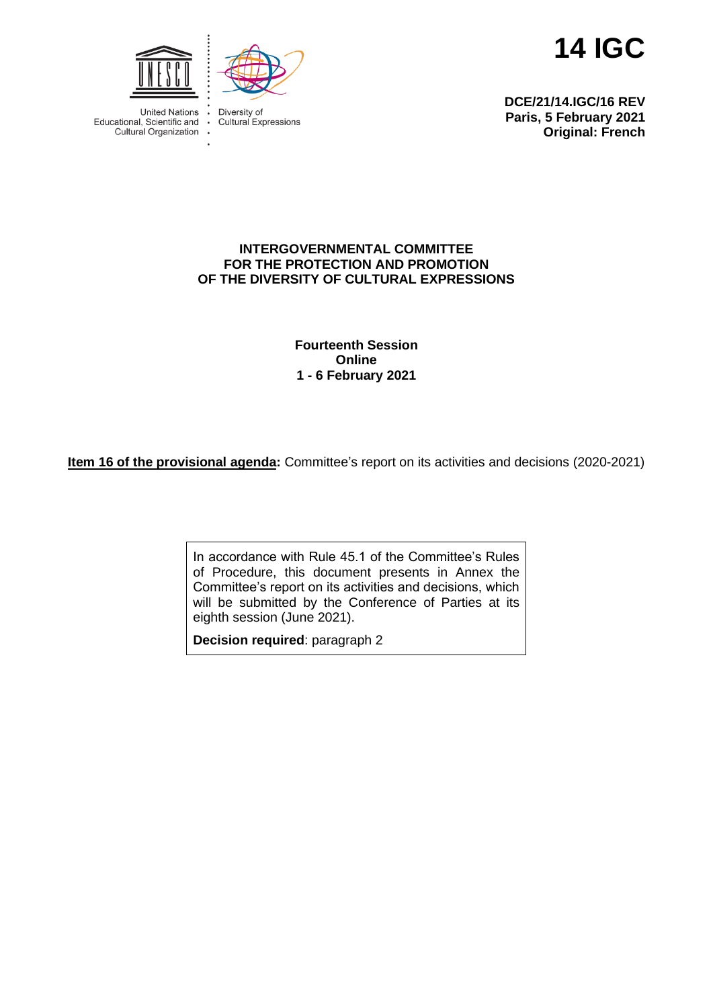

**United Nations**  $\cdot$ Educational, Scientific and  $\ddot{\phantom{0}}$ Cultural Organization

Diversity of Cultural Expressions



**DCE/21/14.IGC/16 REV Paris, 5 February 2021 Original: French**

## **INTERGOVERNMENTAL COMMITTEE FOR THE PROTECTION AND PROMOTION OF THE DIVERSITY OF CULTURAL EXPRESSIONS**

**Fourteenth Session Online 1 - 6 February 2021**

**Item 16 of the provisional agenda:** Committee's report on its activities and decisions (2020-2021)

In accordance with Rule 45.1 of the Committee's Rules of Procedure, this document presents in Annex the Committee's report on its activities and decisions, which will be submitted by the Conference of Parties at its eighth session (June 2021).

**Decision required**: paragraph 2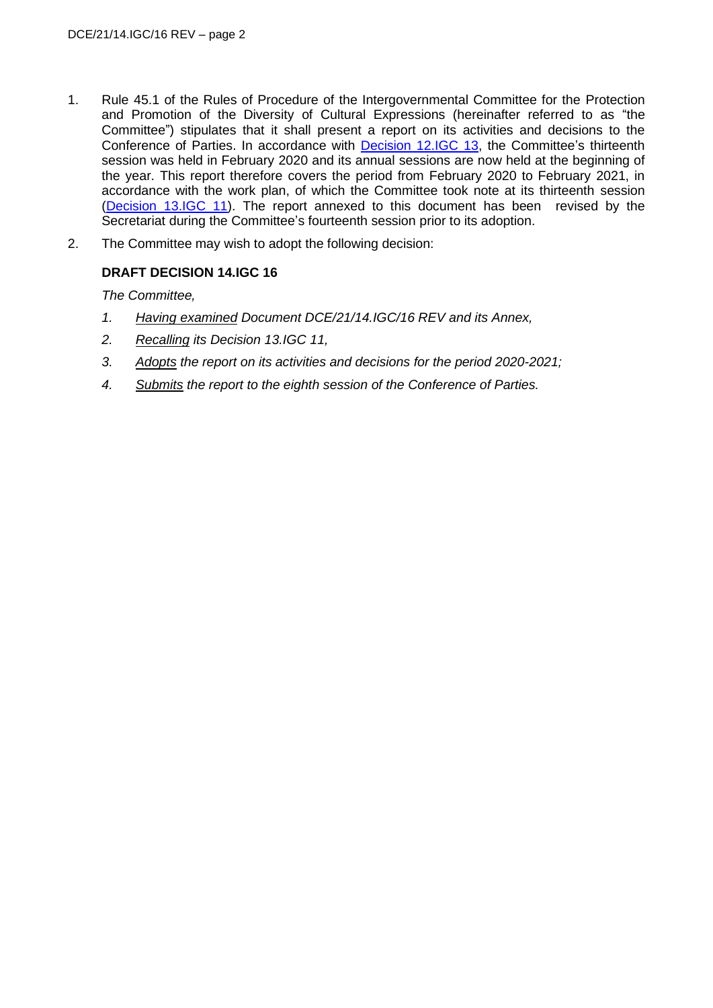- 1. Rule 45.1 of the Rules of Procedure of the Intergovernmental Committee for the Protection and Promotion of the Diversity of Cultural Expressions (hereinafter referred to as "the Committee") stipulates that it shall present a report on its activities and decisions to the Conference of Parties. In accordance with [Decision 12.IGC 13,](https://en.unesco.org/creativity/sites/creativity/files/12igc_decisions_en.pdf#page=33) the Committee's thirteenth session was held in February 2020 and its annual sessions are now held at the beginning of the year. This report therefore covers the period from February 2020 to February 2021, in accordance with the work plan, of which the Committee took note at its thirteenth session [\(Decision 13.IGC 11\)](https://en.unesco.org/creativity/sites/creativity/files/sessions/13igc_decisions_en.pdf#page=9). The report annexed to this document has been revised by the Secretariat during the Committee's fourteenth session prior to its adoption.
- 2. The Committee may wish to adopt the following decision:

# **DRAFT DECISION 14.IGC 16**

*The Committee,*

- *1. Having examined Document DCE/21/14.IGC/16 REV and its Annex,*
- *2. Recalling its Decision 13.IGC 11,*
- *3. Adopts the report on its activities and decisions for the period 2020-2021;*
- *4. Submits the report to the eighth session of the Conference of Parties.*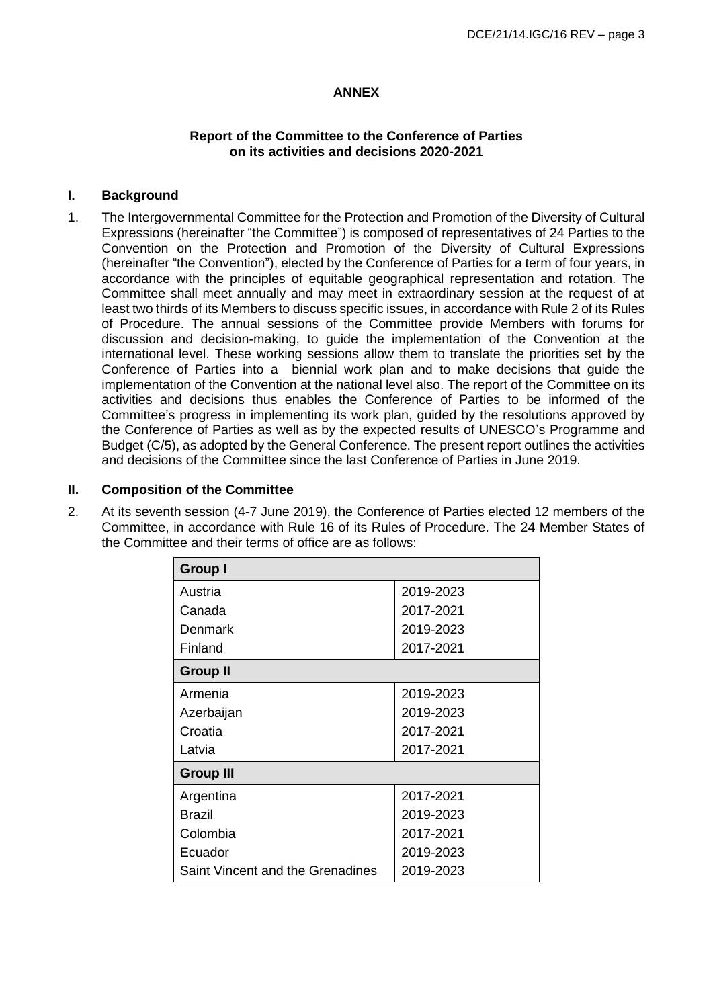## **ANNEX**

### **Report of the Committee to the Conference of Parties on its activities and decisions 2020-2021**

### **I. Background**

1. The Intergovernmental Committee for the Protection and Promotion of the Diversity of Cultural Expressions (hereinafter "the Committee") is composed of representatives of 24 Parties to the Convention on the Protection and Promotion of the Diversity of Cultural Expressions (hereinafter "the Convention"), elected by the Conference of Parties for a term of four years, in accordance with the principles of equitable geographical representation and rotation. The Committee shall meet annually and may meet in extraordinary session at the request of at least two thirds of its Members to discuss specific issues, in accordance with Rule 2 of its Rules of Procedure. The annual sessions of the Committee provide Members with forums for discussion and decision-making, to guide the implementation of the Convention at the international level. These working sessions allow them to translate the priorities set by the Conference of Parties into a biennial work plan and to make decisions that guide the implementation of the Convention at the national level also. The report of the Committee on its activities and decisions thus enables the Conference of Parties to be informed of the Committee's progress in implementing its work plan, guided by the resolutions approved by the Conference of Parties as well as by the expected results of UNESCO's Programme and Budget (C/5), as adopted by the General Conference. The present report outlines the activities and decisions of the Committee since the last Conference of Parties in June 2019.

#### **II. Composition of the Committee**

2. At its seventh session (4-7 June 2019), the Conference of Parties elected 12 members of the Committee, in accordance with Rule 16 of its Rules of Procedure. The 24 Member States of the Committee and their terms of office are as follows:

| <b>Group I</b>                   |           |  |  |
|----------------------------------|-----------|--|--|
| Austria                          | 2019-2023 |  |  |
| Canada                           | 2017-2021 |  |  |
| Denmark                          | 2019-2023 |  |  |
| Finland                          | 2017-2021 |  |  |
| <b>Group II</b>                  |           |  |  |
| Armenia                          | 2019-2023 |  |  |
| Azerbaijan                       | 2019-2023 |  |  |
| Croatia                          | 2017-2021 |  |  |
| 2017-2021<br>Latvia              |           |  |  |
| <b>Group III</b>                 |           |  |  |
| Argentina                        | 2017-2021 |  |  |
| Brazil                           | 2019-2023 |  |  |
| Colombia                         | 2017-2021 |  |  |
| Ecuador                          | 2019-2023 |  |  |
| Saint Vincent and the Grenadines | 2019-2023 |  |  |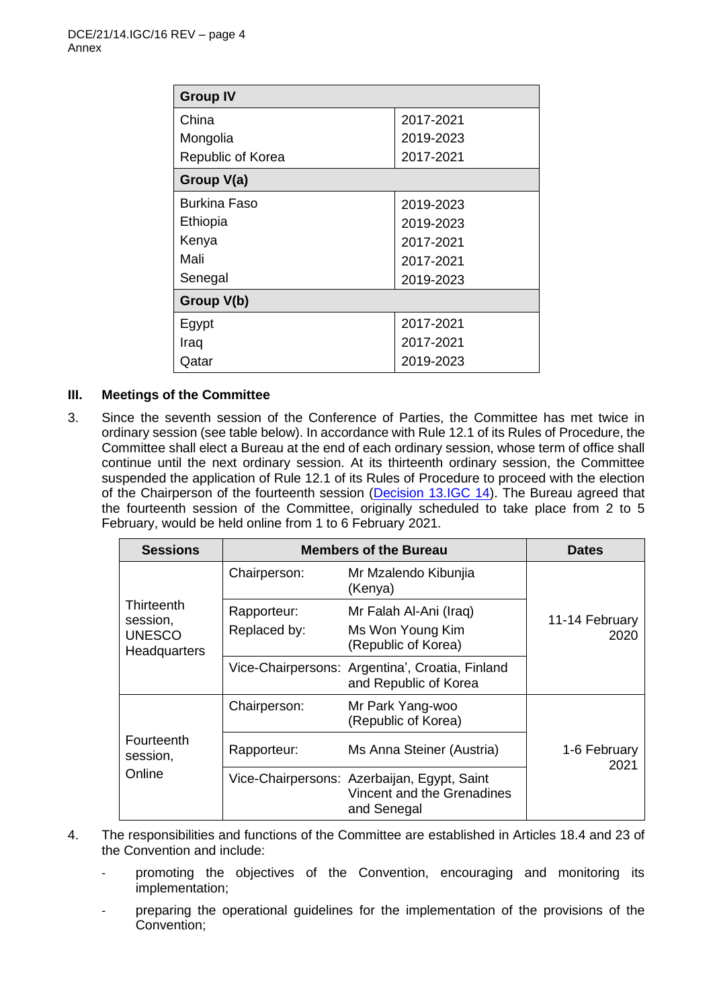| <b>Group IV</b>                |           |  |  |
|--------------------------------|-----------|--|--|
| China                          | 2017-2021 |  |  |
| Mongolia                       | 2019-2023 |  |  |
| 2017-2021<br>Republic of Korea |           |  |  |
| Group V(a)                     |           |  |  |
| <b>Burkina Faso</b>            | 2019-2023 |  |  |
| Ethiopia                       | 2019-2023 |  |  |
| Kenya                          | 2017-2021 |  |  |
| Mali                           | 2017-2021 |  |  |
| Senegal                        | 2019-2023 |  |  |
| Group V(b)                     |           |  |  |
| Egypt                          | 2017-2021 |  |  |
| Iraq                           | 2017-2021 |  |  |
| Qatar                          | 2019-2023 |  |  |

# **III. Meetings of the Committee**

3. Since the seventh session of the Conference of Parties, the Committee has met twice in ordinary session (see table below). In accordance with Rule 12.1 of its Rules of Procedure, the Committee shall elect a Bureau at the end of each ordinary session, whose term of office shall continue until the next ordinary session. At its thirteenth ordinary session, the Committee suspended the application of Rule 12.1 of its Rules of Procedure to proceed with the election of the Chairperson of the fourteenth session [\(Decision 13.IGC 14\)](https://en.unesco.org/creativity/sites/creativity/files/sessions/13igc_decisions_en.pdf#page=15). The Bureau agreed that the fourteenth session of the Committee, originally scheduled to take place from 2 to 5 February, would be held online from 1 to 6 February 2021.

| <b>Sessions</b>                                                | <b>Members of the Bureau</b> |                                                                                          | <b>Dates</b>           |
|----------------------------------------------------------------|------------------------------|------------------------------------------------------------------------------------------|------------------------|
| Thirteenth<br>session,<br><b>UNESCO</b><br><b>Headquarters</b> | Chairperson:                 | Mr Mzalendo Kibunjia<br>(Kenya)                                                          |                        |
|                                                                | Rapporteur:<br>Replaced by:  | Mr Falah Al-Ani (Iraq)<br>Ms Won Young Kim<br>(Republic of Korea)                        | 11-14 February<br>2020 |
|                                                                |                              | Vice-Chairpersons: Argentina', Croatia, Finland<br>and Republic of Korea                 |                        |
| Fourteenth<br>session,<br>Online                               | Chairperson:                 | Mr Park Yang-woo<br>(Republic of Korea)                                                  |                        |
|                                                                | Rapporteur:                  | Ms Anna Steiner (Austria)                                                                | 1-6 February<br>2021   |
|                                                                |                              | Vice-Chairpersons: Azerbaijan, Egypt, Saint<br>Vincent and the Grenadines<br>and Senegal |                        |

- 4. The responsibilities and functions of the Committee are established in Articles 18.4 and 23 of the Convention and include:
	- promoting the objectives of the Convention, encouraging and monitoring its implementation;
	- preparing the operational guidelines for the implementation of the provisions of the Convention;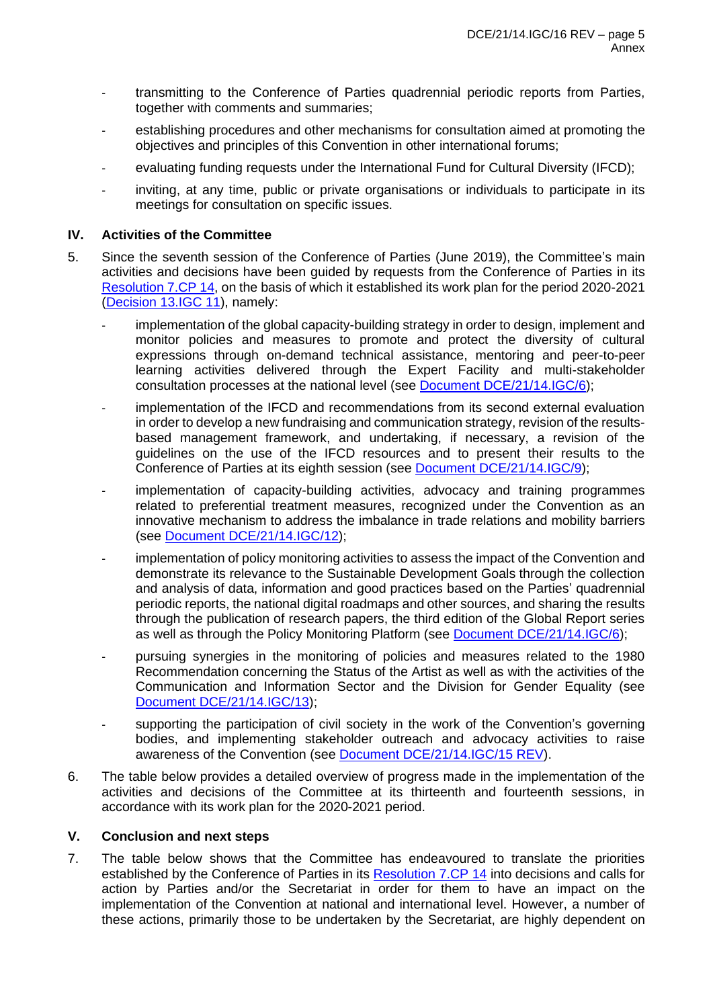- transmitting to the Conference of Parties quadrennial periodic reports from Parties, together with comments and summaries;
- establishing procedures and other mechanisms for consultation aimed at promoting the objectives and principles of this Convention in other international forums;
- evaluating funding requests under the International Fund for Cultural Diversity (IFCD);
- inviting, at any time, public or private organisations or individuals to participate in its meetings for consultation on specific issues.

## **IV. Activities of the Committee**

- 5. Since the seventh session of the Conference of Parties (June 2019), the Committee's main activities and decisions have been guided by requests from the Conference of Parties in its [Resolution 7.CP 14,](https://en.unesco.org/creativity/sites/creativity/files/sessions/7cp_resolutions_en.pdf#page=22) on the basis of which it established its work plan for the period 2020-2021 [\(Decision 13.IGC 11\)](https://en.unesco.org/creativity/sites/creativity/files/sessions/13igc_decisions_en.pdf#page=9), namely:
	- implementation of the global capacity-building strategy in order to design, implement and monitor policies and measures to promote and protect the diversity of cultural expressions through on-demand technical assistance, mentoring and peer-to-peer learning activities delivered through the Expert Facility and multi-stakeholder consultation processes at the national level (see [Document DCE/21/14.IGC/6\)](https://en.unesco.org/creativity/sites/creativity/files/sessions/dce-21-14igc.6_quadrenial_periodic_reports_en_20210131.pdf);
	- implementation of the IFCD and recommendations from its second external evaluation in order to develop a new fundraising and communication strategy, revision of the resultsbased management framework, and undertaking, if necessary, a revision of the guidelines on the use of the IFCD resources and to present their results to the Conference of Parties at its eighth session (see [Document DCE/21/14.IGC/9\)](https://en.unesco.org/creativity/sites/creativity/files/sessions/14igc_9_ifcd_recommendations_en_0.pdf);
	- implementation of capacity-building activities, advocacy and training programmes related to preferential treatment measures, recognized under the Convention as an innovative mechanism to address the imbalance in trade relations and mobility barriers (see [Document DCE/21/14.IGC/12\)](https://en.unesco.org/creativity/sites/creativity/files/sessions/14igc_12_preferential_treatment_en.pdf);
	- implementation of policy monitoring activities to assess the impact of the Convention and demonstrate its relevance to the Sustainable Development Goals through the collection and analysis of data, information and good practices based on the Parties' quadrennial periodic reports, the national digital roadmaps and other sources, and sharing the results through the publication of research papers, the third edition of the Global Report series as well as through the Policy Monitoring Platform (see [Document DCE/21/14.IGC/6\)](https://en.unesco.org/creativity/sites/creativity/files/sessions/dce-21-14igc.6_quadrenial_periodic_reports_en_20210131.pdf);
	- pursuing synergies in the monitoring of policies and measures related to the 1980 Recommendation concerning the Status of the Artist as well as with the activities of the Communication and Information Sector and the Division for Gender Equality (see [Document DCE/21/14.IGC/13\)](https://en.unesco.org/creativity/sites/creativity/files/sessions/14igc_13_1980_recommendation_en.pdf);
	- supporting the participation of civil society in the work of the Convention's governing bodies, and implementing stakeholder outreach and advocacy activities to raise awareness of the Convention (see [Document DCE/21/14.IGC/15](https://en.unesco.org/creativity/sites/creativity/files/sessions/14igc.15rev_civil_society_en_0.pdf) REV).
- 6. The table below provides a detailed overview of progress made in the implementation of the activities and decisions of the Committee at its thirteenth and fourteenth sessions, in accordance with its work plan for the 2020-2021 period.

### **V. Conclusion and next steps**

7. The table below shows that the Committee has endeavoured to translate the priorities established by the Conference of Parties in its [Resolution 7.CP 14](https://en.unesco.org/creativity/sites/creativity/files/sessions/7cp_resolutions_en.pdf#page=22) into decisions and calls for action by Parties and/or the Secretariat in order for them to have an impact on the implementation of the Convention at national and international level. However, a number of these actions, primarily those to be undertaken by the Secretariat, are highly dependent on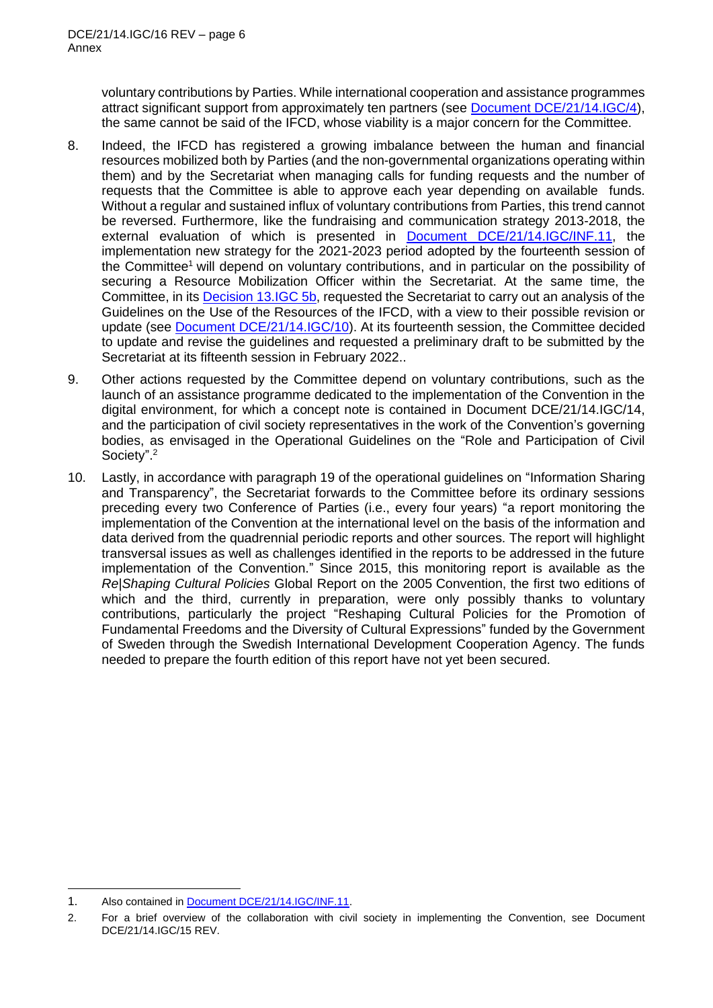voluntary contributions by Parties. While international cooperation and assistance programmes attract significant support from approximately ten partners (see [Document DCE/21/14.IGC/4\)](https://en.unesco.org/creativity/sites/creativity/files/sessions/14igc_4_secretariat_report_en_1.pdf), the same cannot be said of the IFCD, whose viability is a major concern for the Committee.

- 8. Indeed, the IFCD has registered a growing imbalance between the human and financial resources mobilized both by Parties (and the non-governmental organizations operating within them) and by the Secretariat when managing calls for funding requests and the number of requests that the Committee is able to approve each year depending on available funds. Without a regular and sustained influx of voluntary contributions from Parties, this trend cannot be reversed. Furthermore, like the fundraising and communication strategy 2013-2018, the external evaluation of which is presented in [Document DCE/21/14.IGC/INF.11,](https://en.unesco.org/creativity/sites/creativity/files/sessions/14igc_inf11_fundraising_strategy_en.pdf) the implementation new strategy for the 2021-2023 period adopted by the fourteenth session of the Committee<sup>1</sup> will depend on voluntary contributions, and in particular on the possibility of securing a Resource Mobilization Officer within the Secretariat. At the same time, the Committee, in its [Decision 13.IGC 5b,](https://en.unesco.org/creativity/sites/creativity/files/sessions/13igc_decisions_en.pdf#page=5) requested the Secretariat to carry out an analysis of the Guidelines on the Use of the Resources of the IFCD, with a view to their possible revision or update (see [Document DCE/21/14.IGC/10\)](https://en.unesco.org/creativity/sites/creativity/files/sessions/dce-21-14.igc-10_analysis_ifcd_guidelines_en_0.pdf). At its fourteenth session, the Committee decided to update and revise the guidelines and requested a preliminary draft to be submitted by the Secretariat at its fifteenth session in February 2022..
- 9. Other actions requested by the Committee depend on voluntary contributions, such as the launch of an assistance programme dedicated to the implementation of the Convention in the digital environment, for which a concept note is contained in Document DCE/21/14.IGC/14, and the participation of civil society representatives in the work of the Convention's governing bodies, as envisaged in the Operational Guidelines on the "Role and Participation of Civil Society". 2
- 10. Lastly, in accordance with paragraph 19 of the operational guidelines on "Information Sharing and Transparency", the Secretariat forwards to the Committee before its ordinary sessions preceding every two Conference of Parties (i.e., every four years) "a report monitoring the implementation of the Convention at the international level on the basis of the information and data derived from the quadrennial periodic reports and other sources. The report will highlight transversal issues as well as challenges identified in the reports to be addressed in the future implementation of the Convention." Since 2015, this monitoring report is available as the *Re|Shaping Cultural Policies* Global Report on the 2005 Convention, the first two editions of which and the third, currently in preparation, were only possibly thanks to voluntary contributions, particularly the project "Reshaping Cultural Policies for the Promotion of Fundamental Freedoms and the Diversity of Cultural Expressions" funded by the Government of Sweden through the Swedish International Development Cooperation Agency. The funds needed to prepare the fourth edition of this report have not yet been secured.

<sup>1.</sup> Also contained in [Document DCE/21/14.IGC/INF.11.](https://en.unesco.org/creativity/sites/creativity/files/sessions/14igc_inf11_fundraising_strategy_en.pdf)

<sup>2.</sup> For a brief overview of the collaboration with civil society in implementing the Convention, see Document DCE/21/14.IGC/15 REV.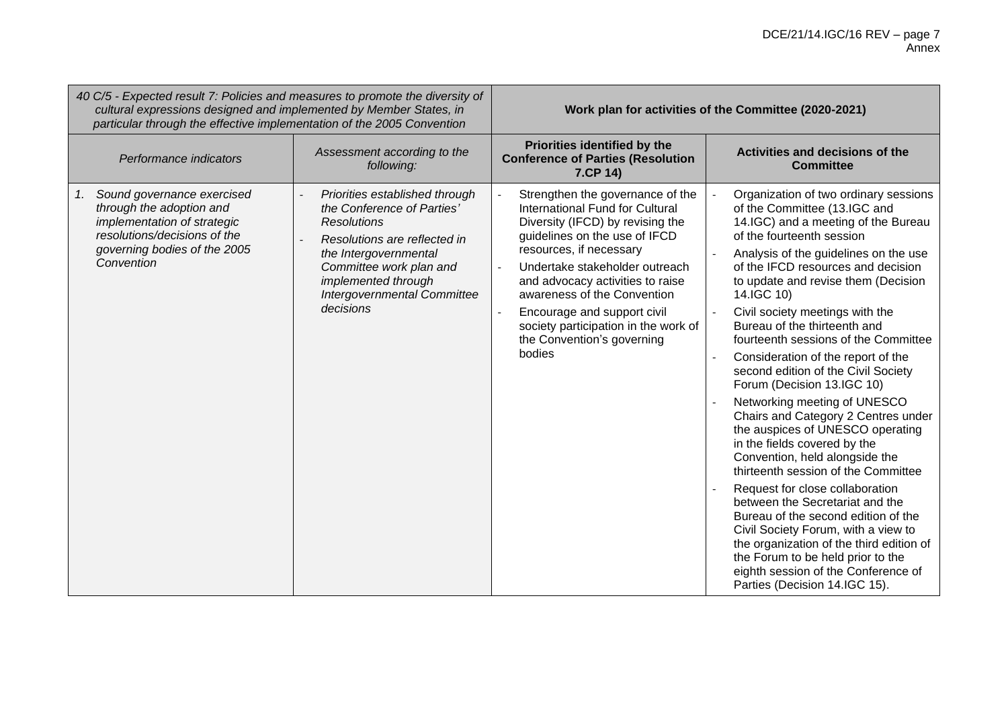| 40 C/5 - Expected result 7: Policies and measures to promote the diversity of<br>cultural expressions designed and implemented by Member States, in<br>particular through the effective implementation of the 2005 Convention |                                                                                                                                                                                                                                           | Work plan for activities of the Committee (2020-2021)                                                                                                                                                                                                                                                                                                                                   |                                                                                                                                                                                                                                                                                                                                                                                                                                                                                                                                                                                                                                                                                                                                                                                                                                                                                                                                                                                                                                      |  |
|-------------------------------------------------------------------------------------------------------------------------------------------------------------------------------------------------------------------------------|-------------------------------------------------------------------------------------------------------------------------------------------------------------------------------------------------------------------------------------------|-----------------------------------------------------------------------------------------------------------------------------------------------------------------------------------------------------------------------------------------------------------------------------------------------------------------------------------------------------------------------------------------|--------------------------------------------------------------------------------------------------------------------------------------------------------------------------------------------------------------------------------------------------------------------------------------------------------------------------------------------------------------------------------------------------------------------------------------------------------------------------------------------------------------------------------------------------------------------------------------------------------------------------------------------------------------------------------------------------------------------------------------------------------------------------------------------------------------------------------------------------------------------------------------------------------------------------------------------------------------------------------------------------------------------------------------|--|
| Performance indicators                                                                                                                                                                                                        | Assessment according to the<br>following:                                                                                                                                                                                                 | Priorities identified by the<br><b>Conference of Parties (Resolution</b><br>7.CP 14)                                                                                                                                                                                                                                                                                                    | Activities and decisions of the<br><b>Committee</b>                                                                                                                                                                                                                                                                                                                                                                                                                                                                                                                                                                                                                                                                                                                                                                                                                                                                                                                                                                                  |  |
| Sound governance exercised<br>1.<br>through the adoption and<br>implementation of strategic<br>resolutions/decisions of the<br>governing bodies of the 2005<br>Convention                                                     | Priorities established through<br>the Conference of Parties'<br><b>Resolutions</b><br>Resolutions are reflected in<br>the Intergovernmental<br>Committee work plan and<br>implemented through<br>Intergovernmental Committee<br>decisions | Strengthen the governance of the<br>International Fund for Cultural<br>Diversity (IFCD) by revising the<br>guidelines on the use of IFCD<br>resources, if necessary<br>Undertake stakeholder outreach<br>and advocacy activities to raise<br>awareness of the Convention<br>Encourage and support civil<br>society participation in the work of<br>the Convention's governing<br>bodies | Organization of two ordinary sessions<br>of the Committee (13.IGC and<br>14.IGC) and a meeting of the Bureau<br>of the fourteenth session<br>Analysis of the guidelines on the use<br>of the IFCD resources and decision<br>to update and revise them (Decision<br>14.IGC 10)<br>Civil society meetings with the<br>Bureau of the thirteenth and<br>fourteenth sessions of the Committee<br>Consideration of the report of the<br>second edition of the Civil Society<br>Forum (Decision 13.IGC 10)<br>Networking meeting of UNESCO<br>Chairs and Category 2 Centres under<br>the auspices of UNESCO operating<br>in the fields covered by the<br>Convention, held alongside the<br>thirteenth session of the Committee<br>Request for close collaboration<br>between the Secretariat and the<br>Bureau of the second edition of the<br>Civil Society Forum, with a view to<br>the organization of the third edition of<br>the Forum to be held prior to the<br>eighth session of the Conference of<br>Parties (Decision 14.IGC 15). |  |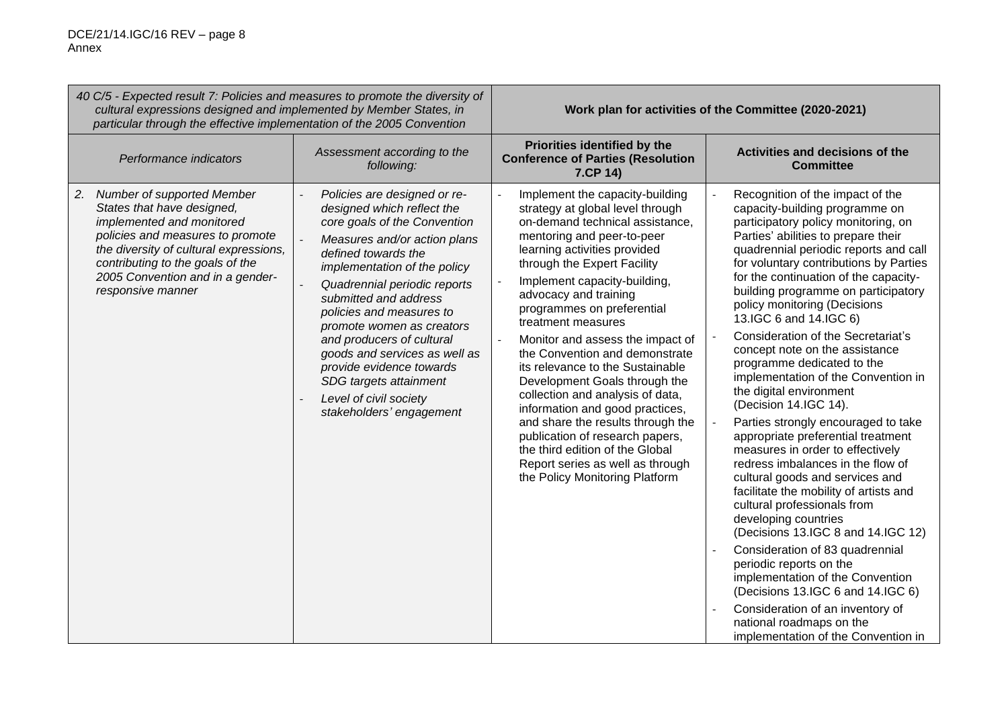| 40 C/5 - Expected result 7: Policies and measures to promote the diversity of<br>cultural expressions designed and implemented by Member States, in<br>particular through the effective implementation of the 2005 Convention                                          |                                                                                                                                                                                                                                                                                                                                                                                                                                                                               |                                                                                                                                                                                                                                                                                                                                                                                                                                                                                                                                                                                                                                                                                                                     | Work plan for activities of the Committee (2020-2021)                                                                                                                                                                                                                                                                                                                                                                                                                                                                                                                                                                                                                                                                                                                                                                                                                                                                                                                                                                                                                                                                                                        |
|------------------------------------------------------------------------------------------------------------------------------------------------------------------------------------------------------------------------------------------------------------------------|-------------------------------------------------------------------------------------------------------------------------------------------------------------------------------------------------------------------------------------------------------------------------------------------------------------------------------------------------------------------------------------------------------------------------------------------------------------------------------|---------------------------------------------------------------------------------------------------------------------------------------------------------------------------------------------------------------------------------------------------------------------------------------------------------------------------------------------------------------------------------------------------------------------------------------------------------------------------------------------------------------------------------------------------------------------------------------------------------------------------------------------------------------------------------------------------------------------|--------------------------------------------------------------------------------------------------------------------------------------------------------------------------------------------------------------------------------------------------------------------------------------------------------------------------------------------------------------------------------------------------------------------------------------------------------------------------------------------------------------------------------------------------------------------------------------------------------------------------------------------------------------------------------------------------------------------------------------------------------------------------------------------------------------------------------------------------------------------------------------------------------------------------------------------------------------------------------------------------------------------------------------------------------------------------------------------------------------------------------------------------------------|
| Performance indicators                                                                                                                                                                                                                                                 | Assessment according to the<br>following:                                                                                                                                                                                                                                                                                                                                                                                                                                     | Priorities identified by the<br><b>Conference of Parties (Resolution</b><br>7.CP 14)                                                                                                                                                                                                                                                                                                                                                                                                                                                                                                                                                                                                                                | Activities and decisions of the<br><b>Committee</b>                                                                                                                                                                                                                                                                                                                                                                                                                                                                                                                                                                                                                                                                                                                                                                                                                                                                                                                                                                                                                                                                                                          |
| Number of supported Member<br>2.<br>States that have designed,<br>implemented and monitored<br>policies and measures to promote<br>the diversity of cultural expressions,<br>contributing to the goals of the<br>2005 Convention and in a gender-<br>responsive manner | Policies are designed or re-<br>designed which reflect the<br>core goals of the Convention<br>Measures and/or action plans<br>defined towards the<br>implementation of the policy<br>Quadrennial periodic reports<br>submitted and address<br>policies and measures to<br>promote women as creators<br>and producers of cultural<br>goods and services as well as<br>provide evidence towards<br>SDG targets attainment<br>Level of civil society<br>stakeholders' engagement | Implement the capacity-building<br>strategy at global level through<br>on-demand technical assistance,<br>mentoring and peer-to-peer<br>learning activities provided<br>through the Expert Facility<br>Implement capacity-building,<br>advocacy and training<br>programmes on preferential<br>treatment measures<br>Monitor and assess the impact of<br>the Convention and demonstrate<br>its relevance to the Sustainable<br>Development Goals through the<br>collection and analysis of data,<br>information and good practices,<br>and share the results through the<br>publication of research papers,<br>the third edition of the Global<br>Report series as well as through<br>the Policy Monitoring Platform | Recognition of the impact of the<br>capacity-building programme on<br>participatory policy monitoring, on<br>Parties' abilities to prepare their<br>quadrennial periodic reports and call<br>for voluntary contributions by Parties<br>for the continuation of the capacity-<br>building programme on participatory<br>policy monitoring (Decisions<br>13.IGC 6 and 14.IGC 6)<br>Consideration of the Secretariat's<br>concept note on the assistance<br>programme dedicated to the<br>implementation of the Convention in<br>the digital environment<br>(Decision 14.IGC 14).<br>Parties strongly encouraged to take<br>appropriate preferential treatment<br>measures in order to effectively<br>redress imbalances in the flow of<br>cultural goods and services and<br>facilitate the mobility of artists and<br>cultural professionals from<br>developing countries<br>(Decisions 13.IGC 8 and 14.IGC 12)<br>Consideration of 83 quadrennial<br>periodic reports on the<br>implementation of the Convention<br>(Decisions 13.IGC 6 and 14.IGC 6)<br>Consideration of an inventory of<br>national roadmaps on the<br>implementation of the Convention in |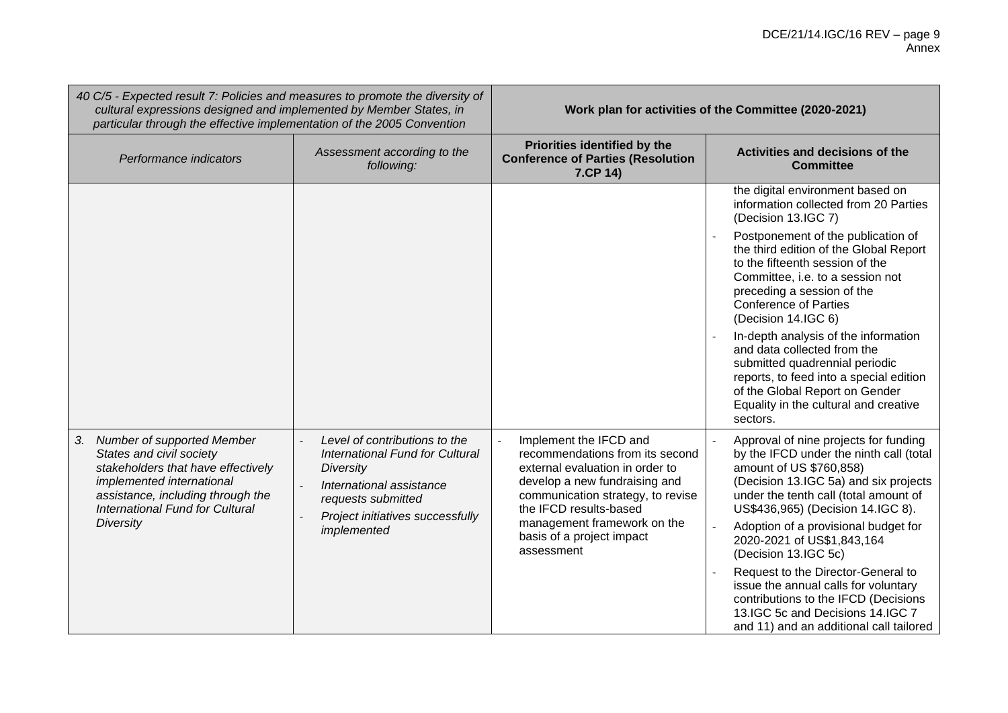| 40 C/5 - Expected result 7: Policies and measures to promote the diversity of<br>cultural expressions designed and implemented by Member States, in<br>particular through the effective implementation of the 2005 Convention |                                                                                                                                                                                    |                                                                                                                                                                                                                                                                        | Work plan for activities of the Committee (2020-2021)                                                                                                                                                                                                                                                                                                                                                                                                                                                                                 |
|-------------------------------------------------------------------------------------------------------------------------------------------------------------------------------------------------------------------------------|------------------------------------------------------------------------------------------------------------------------------------------------------------------------------------|------------------------------------------------------------------------------------------------------------------------------------------------------------------------------------------------------------------------------------------------------------------------|---------------------------------------------------------------------------------------------------------------------------------------------------------------------------------------------------------------------------------------------------------------------------------------------------------------------------------------------------------------------------------------------------------------------------------------------------------------------------------------------------------------------------------------|
| Performance indicators                                                                                                                                                                                                        | Assessment according to the<br>following:                                                                                                                                          | Priorities identified by the<br><b>Conference of Parties (Resolution</b><br>7.CP 14)                                                                                                                                                                                   | Activities and decisions of the<br><b>Committee</b>                                                                                                                                                                                                                                                                                                                                                                                                                                                                                   |
|                                                                                                                                                                                                                               |                                                                                                                                                                                    |                                                                                                                                                                                                                                                                        | the digital environment based on<br>information collected from 20 Parties<br>(Decision 13.IGC 7)                                                                                                                                                                                                                                                                                                                                                                                                                                      |
|                                                                                                                                                                                                                               |                                                                                                                                                                                    |                                                                                                                                                                                                                                                                        | Postponement of the publication of<br>the third edition of the Global Report<br>to the fifteenth session of the<br>Committee, i.e. to a session not<br>preceding a session of the<br><b>Conference of Parties</b><br>(Decision 14.IGC 6)<br>In-depth analysis of the information<br>and data collected from the<br>submitted quadrennial periodic<br>reports, to feed into a special edition<br>of the Global Report on Gender<br>Equality in the cultural and creative<br>sectors.                                                   |
| Number of supported Member<br>3.<br>States and civil society<br>stakeholders that have effectively<br>implemented international<br>assistance, including through the<br>International Fund for Cultural<br>Diversity          | Level of contributions to the<br>International Fund for Cultural<br>Diversity<br>International assistance<br>requests submitted<br>Project initiatives successfully<br>implemented | Implement the IFCD and<br>recommendations from its second<br>external evaluation in order to<br>develop a new fundraising and<br>communication strategy, to revise<br>the IFCD results-based<br>management framework on the<br>basis of a project impact<br>assessment | Approval of nine projects for funding<br>by the IFCD under the ninth call (total<br>amount of US \$760,858)<br>(Decision 13.IGC 5a) and six projects<br>under the tenth call (total amount of<br>US\$436,965) (Decision 14.IGC 8).<br>Adoption of a provisional budget for<br>2020-2021 of US\$1,843,164<br>(Decision 13.IGC 5c)<br>Request to the Director-General to<br>issue the annual calls for voluntary<br>contributions to the IFCD (Decisions<br>13.IGC 5c and Decisions 14.IGC 7<br>and 11) and an additional call tailored |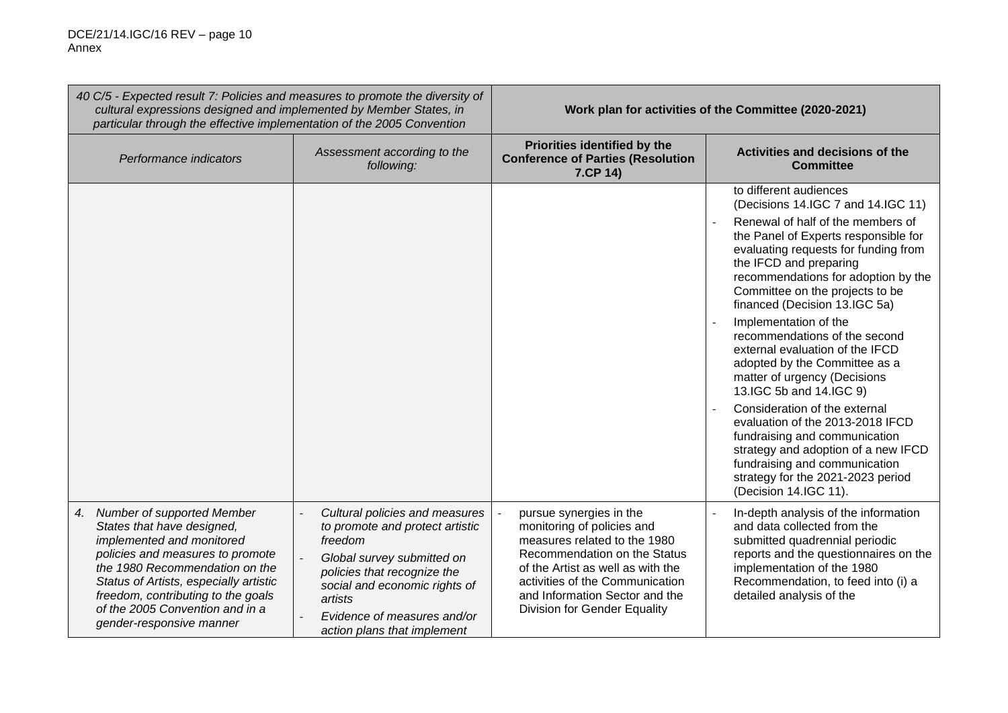| 40 C/5 - Expected result 7: Policies and measures to promote the diversity of<br>cultural expressions designed and implemented by Member States, in<br>particular through the effective implementation of the 2005 Convention                                                                                 |                                                                                                                                                                                                                                                     | Work plan for activities of the Committee (2020-2021)                                                                                                                                                                                                           |                                                                                                                                                                                                                                                                                                                                                                                                                                                                                                                                                                                                                                                                                                                                                             |
|---------------------------------------------------------------------------------------------------------------------------------------------------------------------------------------------------------------------------------------------------------------------------------------------------------------|-----------------------------------------------------------------------------------------------------------------------------------------------------------------------------------------------------------------------------------------------------|-----------------------------------------------------------------------------------------------------------------------------------------------------------------------------------------------------------------------------------------------------------------|-------------------------------------------------------------------------------------------------------------------------------------------------------------------------------------------------------------------------------------------------------------------------------------------------------------------------------------------------------------------------------------------------------------------------------------------------------------------------------------------------------------------------------------------------------------------------------------------------------------------------------------------------------------------------------------------------------------------------------------------------------------|
| Performance indicators                                                                                                                                                                                                                                                                                        | Assessment according to the<br>following:                                                                                                                                                                                                           | Priorities identified by the<br><b>Conference of Parties (Resolution</b><br>7.CP 14)                                                                                                                                                                            | Activities and decisions of the<br><b>Committee</b>                                                                                                                                                                                                                                                                                                                                                                                                                                                                                                                                                                                                                                                                                                         |
|                                                                                                                                                                                                                                                                                                               |                                                                                                                                                                                                                                                     |                                                                                                                                                                                                                                                                 | to different audiences<br>(Decisions 14.IGC 7 and 14.IGC 11)<br>Renewal of half of the members of<br>the Panel of Experts responsible for<br>evaluating requests for funding from<br>the IFCD and preparing<br>recommendations for adoption by the<br>Committee on the projects to be<br>financed (Decision 13.IGC 5a)<br>Implementation of the<br>recommendations of the second<br>external evaluation of the IFCD<br>adopted by the Committee as a<br>matter of urgency (Decisions<br>13.IGC 5b and 14.IGC 9)<br>Consideration of the external<br>evaluation of the 2013-2018 IFCD<br>fundraising and communication<br>strategy and adoption of a new IFCD<br>fundraising and communication<br>strategy for the 2021-2023 period<br>(Decision 14.IGC 11). |
| 4. Number of supported Member<br>States that have designed,<br>implemented and monitored<br>policies and measures to promote<br>the 1980 Recommendation on the<br>Status of Artists, especially artistic<br>freedom, contributing to the goals<br>of the 2005 Convention and in a<br>gender-responsive manner | Cultural policies and measures<br>to promote and protect artistic<br>freedom<br>Global survey submitted on<br>policies that recognize the<br>social and economic rights of<br>artists<br>Evidence of measures and/or<br>action plans that implement | pursue synergies in the<br>monitoring of policies and<br>measures related to the 1980<br>Recommendation on the Status<br>of the Artist as well as with the<br>activities of the Communication<br>and Information Sector and the<br>Division for Gender Equality | In-depth analysis of the information<br>and data collected from the<br>submitted quadrennial periodic<br>reports and the questionnaires on the<br>implementation of the 1980<br>Recommendation, to feed into (i) a<br>detailed analysis of the                                                                                                                                                                                                                                                                                                                                                                                                                                                                                                              |